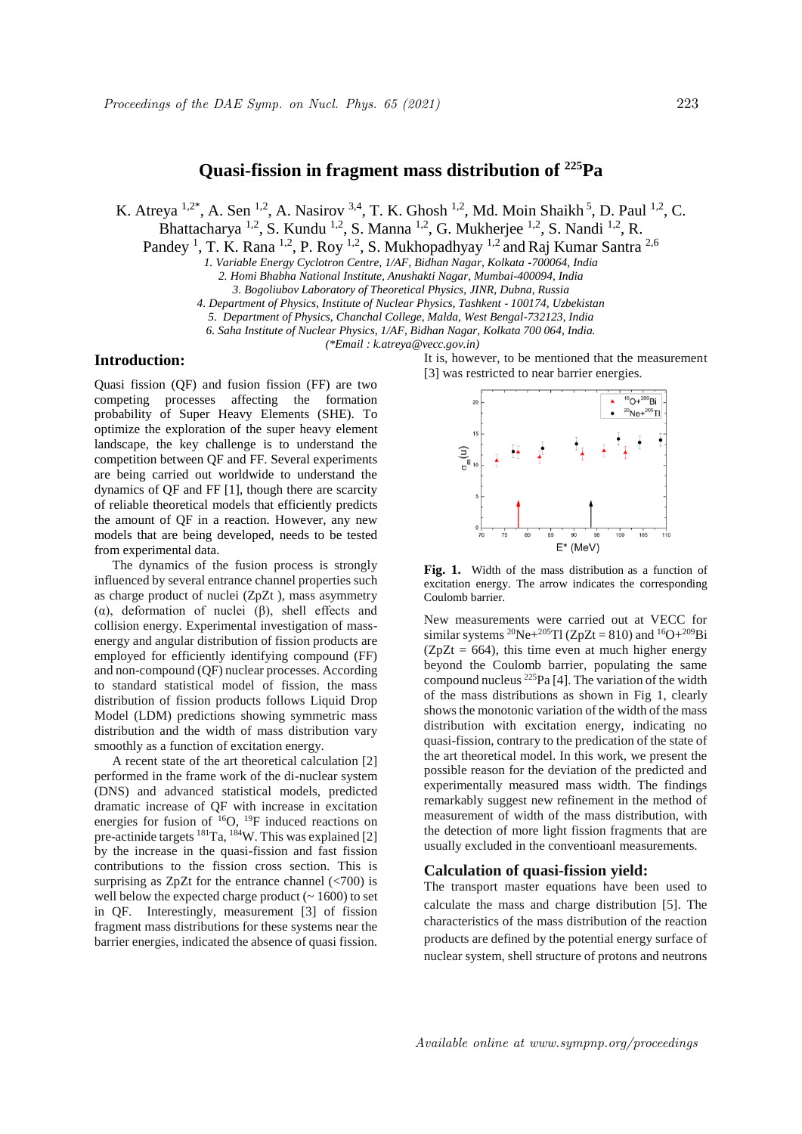# **Quasi-fission in fragment mass distribution of <sup>225</sup>Pa**

K. Atreya  $^{1,2^*}$ , A. Sen  $^{1,2}$ , A. Nasirov  $^{3,4}$ , T. K. Ghosh  $^{1,2}$ , Md. Moin Shaikh  $^5$ , D. Paul  $^{1,2}$ , C.

Bhattacharya <sup>1,2</sup>, S. Kundu <sup>1,2</sup>, S. Manna <sup>1,2</sup>, G. Mukherjee <sup>1,2</sup>, S. Nandi <sup>1,2</sup>, R.

Pandey<sup>1</sup>, T. K. Rana<sup>1,2</sup>, P. Roy<sup>1,2</sup>, S. Mukhopadhyay<sup>1,2</sup> and Raj Kumar Santra<sup>2,6</sup>

*1. Variable Energy Cyclotron Centre, 1/AF, Bidhan Nagar, Kolkata -700064, India*

*2. Homi Bhabha National Institute, Anushakti Nagar, Mumbai-400094, India*

*4. Department of Physics, Institute of Nuclear Physics, Tashkent - 100174, Uzbekistan*

*5. Department of Physics, Chanchal College, Malda, West Bengal-732123, India 6. Saha Institute of Nuclear Physics, 1/AF, Bidhan Nagar, Kolkata 700 064, India.*

*(\*Email : k.atreya@vecc.gov.in)*

# **Introduction:**

Quasi fission (QF) and fusion fission (FF) are two competing processes affecting the formation probability of Super Heavy Elements (SHE). To optimize the exploration of the super heavy element landscape, the key challenge is to understand the competition between QF and FF. Several experiments are being carried out worldwide to understand the dynamics of QF and FF [1], though there are scarcity of reliable theoretical models that efficiently predicts the amount of QF in a reaction. However, any new models that are being developed, needs to be tested from experimental data.

The dynamics of the fusion process is strongly influenced by several entrance channel properties such as charge product of nuclei (ZpZt ), mass asymmetry (α), deformation of nuclei (β), shell effects and collision energy. Experimental investigation of massenergy and angular distribution of fission products are employed for efficiently identifying compound (FF) and non-compound (QF) nuclear processes. According to standard statistical model of fission, the mass distribution of fission products follows Liquid Drop Model (LDM) predictions showing symmetric mass distribution and the width of mass distribution vary smoothly as a function of excitation energy.

A recent state of the art theoretical calculation [2] performed in the frame work of the di-nuclear system (DNS) and advanced statistical models, predicted dramatic increase of QF with increase in excitation energies for fusion of  $^{16}O$ ,  $^{19}F$  induced reactions on pre-actinide targets <sup>181</sup>Ta, <sup>184</sup>W. This was explained [2] by the increase in the quasi-fission and fast fission contributions to the fission cross section. This is surprising as  $ZpZt$  for the entrance channel  $\left(\frac{1}{200}\right)$  is well below the expected charge product  $(-1600)$  to set in QF. Interestingly, measurement [3] of fission fragment mass distributions for these systems near the barrier energies, indicated the absence of quasi fission.

It is, however, to be mentioned that the measurement [3] was restricted to near barrier energies.



**Fig. 1.** Width of the mass distribution as a function of excitation energy. The arrow indicates the corresponding Coulomb barrier.

New measurements were carried out at VECC for similar systems <sup>20</sup>Ne+<sup>205</sup>Tl (ZpZt = 810) and <sup>16</sup>O+<sup>209</sup>Bi  $(ZpZt = 664)$ , this time even at much higher energy beyond the Coulomb barrier, populating the same compound nucleus <sup>225</sup>Pa [4]. The variation of the width of the mass distributions as shown in Fig 1, clearly shows the monotonic variation of the width of the mass distribution with excitation energy, indicating no quasi-fission, contrary to the predication of the state of the art theoretical model. In this work, we present the possible reason for the deviation of the predicted and experimentally measured mass width. The findings remarkably suggest new refinement in the method of measurement of width of the mass distribution, with the detection of more light fission fragments that are usually excluded in the conventioanl measurements.

## **Calculation of quasi-fission yield:**

The transport master equations have been used to calculate the mass and charge distribution [5]. The characteristics of the mass distribution of the reaction products are defined by the potential energy surface of nuclear system, shell structure of protons and neutrons

*<sup>3.</sup> Bogoliubov Laboratory of Theoretical Physics, JINR, Dubna, Russia*